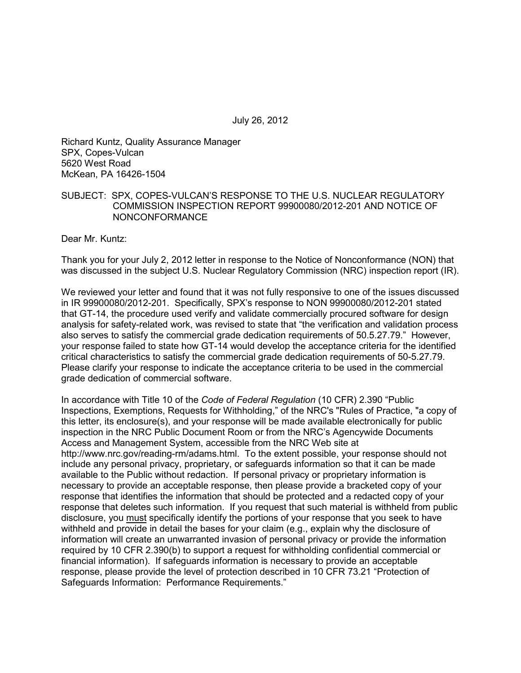July 26, 2012

Richard Kuntz, Quality Assurance Manager SPX, Copes-Vulcan 5620 West Road McKean, PA 16426-1504

## SUBJECT: SPX, COPES-VULCAN'S RESPONSE TO THE U.S. NUCLEAR REGULATORY COMMISSION INSPECTION REPORT 99900080/2012-201 AND NOTICE OF NONCONFORMANCE

Dear Mr. Kuntz:

Thank you for your July 2, 2012 letter in response to the Notice of Nonconformance (NON) that was discussed in the subject U.S. Nuclear Regulatory Commission (NRC) inspection report (IR).

We reviewed your letter and found that it was not fully responsive to one of the issues discussed in IR 99900080/2012-201. Specifically, SPX's response to NON 99900080/2012-201 stated that GT-14, the procedure used verify and validate commercially procured software for design analysis for safety-related work, was revised to state that "the verification and validation process also serves to satisfy the commercial grade dedication requirements of 50.5.27.79." However, your response failed to state how GT-14 would develop the acceptance criteria for the identified critical characteristics to satisfy the commercial grade dedication requirements of 50-5.27.79. Please clarify your response to indicate the acceptance criteria to be used in the commercial grade dedication of commercial software.

In accordance with Title 10 of the *Code of Federal Regulation* (10 CFR) 2.390 "Public Inspections, Exemptions, Requests for Withholding," of the NRC's "Rules of Practice, "a copy of this letter, its enclosure(s), and your response will be made available electronically for public inspection in the NRC Public Document Room or from the NRC's Agencywide Documents Access and Management System, accessible from the NRC Web site at http://www.nrc.gov/reading-rm/adams.html. To the extent possible, your response should not include any personal privacy, proprietary, or safeguards information so that it can be made available to the Public without redaction. If personal privacy or proprietary information is necessary to provide an acceptable response, then please provide a bracketed copy of your response that identifies the information that should be protected and a redacted copy of your response that deletes such information. If you request that such material is withheld from public disclosure, you must specifically identify the portions of your response that you seek to have withheld and provide in detail the bases for your claim (e.g., explain why the disclosure of information will create an unwarranted invasion of personal privacy or provide the information required by 10 CFR 2.390(b) to support a request for withholding confidential commercial or financial information). If safeguards information is necessary to provide an acceptable response, please provide the level of protection described in 10 CFR 73.21 "Protection of Safeguards Information: Performance Requirements."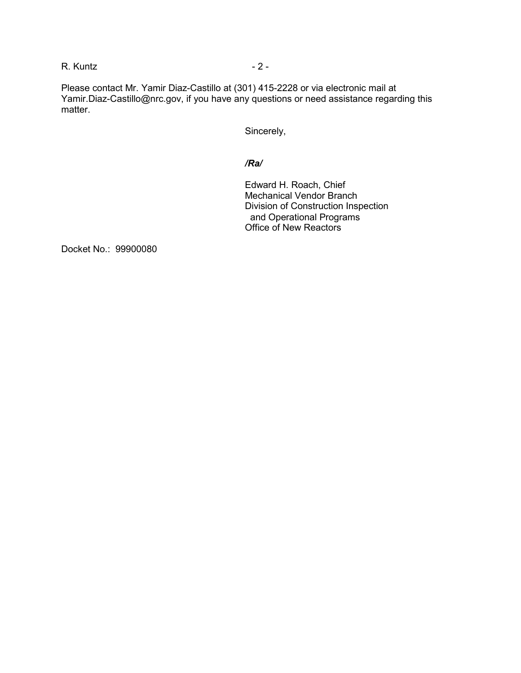R. Kuntz - 2 -

Please contact Mr. Yamir Diaz-Castillo at (301) 415-2228 or via electronic mail at Yamir.Diaz-Castillo@nrc.gov, if you have any questions or need assistance regarding this matter.

Sincerely,

## */Ra/*

Edward H. Roach, Chief Mechanical Vendor Branch Division of Construction Inspection and Operational Programs Office of New Reactors

Docket No.: 99900080